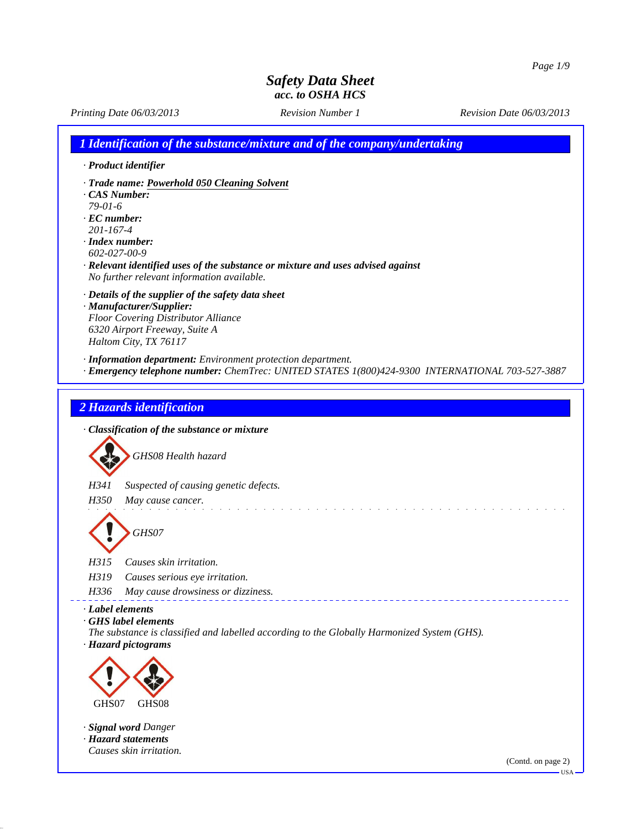*Printing Date 06/03/2013 Revision Number 1 Revision Date 06/03/2013*

*1 Identification of the substance/mixture and of the company/undertaking*

- *· Product identifier*
- *· Trade name: Powerhold 050 Cleaning Solvent*
- *· CAS Number:*
- *79-01-6*
- *· EC number: 201-167-4*
- *· Index number: 602-027-00-9*
- *· Relevant identified uses of the substance or mixture and uses advised against No further relevant information available.*
- *· Details of the supplier of the safety data sheet*
- *· Manufacturer/Supplier: Floor Covering Distributor Alliance 6320 Airport Freeway, Suite A Haltom City, TX 76117*
- *· Information department: Environment protection department.*
- *· Emergency telephone number: ChemTrec: UNITED STATES 1(800)424-9300 INTERNATIONAL 703-527-3887*

di serie de la característica de la

### *2 Hazards identification*

*· Classification of the substance or mixture*

*GHS08 Health hazard H341 Suspected of causing genetic defects. H350 May cause cancer. GHS07*

*H315 Causes skin irritation.*

- *H319 Causes serious eye irritation.*
- *H336 May cause drowsiness or dizziness.*
- *· Label elements*
- *· GHS label elements*
- *The substance is classified and labelled according to the Globally Harmonized System (GHS). · Hazard pictograms*



*· Signal word Danger · Hazard statements Causes skin irritation.*

(Contd. on page 2)

USA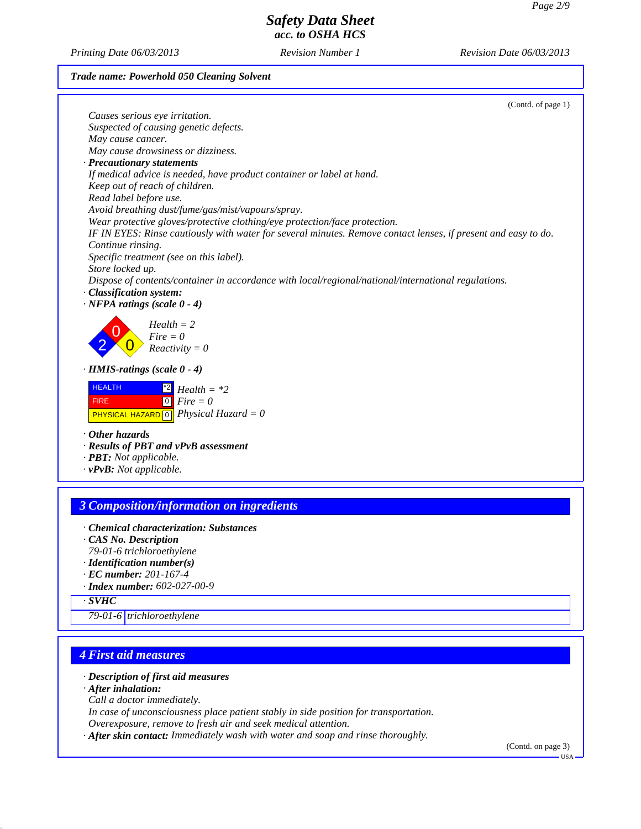*Printing Date 06/03/2013 Revision Number 1 Revision Date 06/03/2013*

### *Trade name: Powerhold 050 Cleaning Solvent*

|                                                                                                                                                             | (Contd. of page 1) |
|-------------------------------------------------------------------------------------------------------------------------------------------------------------|--------------------|
| Causes serious eye irritation.                                                                                                                              |                    |
| Suspected of causing genetic defects.                                                                                                                       |                    |
| May cause cancer.                                                                                                                                           |                    |
| May cause drowsiness or dizziness.                                                                                                                          |                    |
| · Precautionary statements                                                                                                                                  |                    |
| If medical advice is needed, have product container or label at hand.                                                                                       |                    |
| Keep out of reach of children.                                                                                                                              |                    |
| Read label before use.                                                                                                                                      |                    |
| Avoid breathing dust/fume/gas/mist/vapours/spray.                                                                                                           |                    |
| Wear protective gloves/protective clothing/eye protection/face protection.                                                                                  |                    |
| IF IN EYES: Rinse cautiously with water for several minutes. Remove contact lenses, if present and easy to do.                                              |                    |
| Continue rinsing.                                                                                                                                           |                    |
| Specific treatment (see on this label).                                                                                                                     |                    |
| Store locked up.                                                                                                                                            |                    |
| Dispose of contents/container in accordance with local/regional/national/international regulations.                                                         |                    |
| · Classification system:                                                                                                                                    |                    |
| $\cdot$ NFPA ratings (scale 0 - 4)                                                                                                                          |                    |
| $Health = 2$<br>$Fire = 0$<br>$Reactivity = 0$                                                                                                              |                    |
| $\cdot$ HMIS-ratings (scale $0 - 4$ )                                                                                                                       |                    |
| <b>HEALTH</b><br>$Health = *2$<br>$\begin{bmatrix} 0 \\ Fire \end{bmatrix}$<br><b>FIRE</b><br><b>PHYSICAL HAZARD</b> $\boxed{0}$ <i>Physical Hazard</i> = 0 |                    |
| $\cdot$ Other hazards                                                                                                                                       |                    |
| · Results of PBT and vPvB assessment                                                                                                                        |                    |
| $\cdot$ <b>PBT</b> : Not applicable.                                                                                                                        |                    |
| $\cdot$ vPvB: Not applicable.                                                                                                                               |                    |
|                                                                                                                                                             |                    |
|                                                                                                                                                             |                    |
| <b>3 Composition/information on ingredients</b>                                                                                                             |                    |
|                                                                                                                                                             |                    |

- *· Chemical characterization: Substances*
- *· CAS No. Description*
- *79-01-6 trichloroethylene*
- *· Identification number(s) · EC number: 201-167-4*
- 
- *· Index number: 602-027-00-9*
- *· SVHC*

*79-01-6 trichloroethylene*

# *4 First aid measures*

### *· Description of first aid measures*

*· After inhalation:*

*Call a doctor immediately.*

*In case of unconsciousness place patient stably in side position for transportation.*

*Overexposure, remove to fresh air and seek medical attention.*

*· After skin contact: Immediately wash with water and soap and rinse thoroughly.*

(Contd. on page 3) USA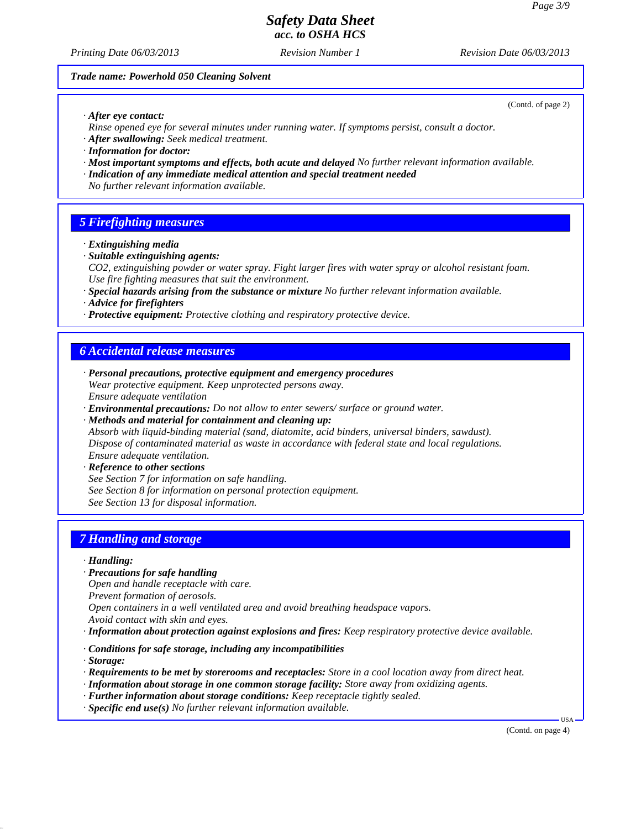(Contd. of page 2)

# *Safety Data Sheet acc. to OSHA HCS*

*Printing Date 06/03/2013 Revision Number 1 Revision Date 06/03/2013*

#### *Trade name: Powerhold 050 Cleaning Solvent*

*· After eye contact:*

*Rinse opened eye for several minutes under running water. If symptoms persist, consult a doctor.*

- *· After swallowing: Seek medical treatment.*
- *· Information for doctor:*
- *· Most important symptoms and effects, both acute and delayed No further relevant information available.*
- *· Indication of any immediate medical attention and special treatment needed*
- *No further relevant information available.*

### *5 Firefighting measures*

- *· Extinguishing media*
- *· Suitable extinguishing agents:*
- *CO2, extinguishing powder or water spray. Fight larger fires with water spray or alcohol resistant foam. Use fire fighting measures that suit the environment.*
- *· Special hazards arising from the substance or mixture No further relevant information available.*
- *· Advice for firefighters*
- *· Protective equipment: Protective clothing and respiratory protective device.*

#### *6 Accidental release measures*

- *· Personal precautions, protective equipment and emergency procedures Wear protective equipment. Keep unprotected persons away. Ensure adequate ventilation*
- *· Environmental precautions: Do not allow to enter sewers/ surface or ground water.*

*· Methods and material for containment and cleaning up: Absorb with liquid-binding material (sand, diatomite, acid binders, universal binders, sawdust). Dispose of contaminated material as waste in accordance with federal state and local regulations. Ensure adequate ventilation.*

*· Reference to other sections See Section 7 for information on safe handling. See Section 8 for information on personal protection equipment. See Section 13 for disposal information.*

### *7 Handling and storage*

*· Handling:*

- *· Precautions for safe handling*
- *Open and handle receptacle with care.*
- *Prevent formation of aerosols.*

*Open containers in a well ventilated area and avoid breathing headspace vapors.*

- *Avoid contact with skin and eyes.*
- *· Information about protection against explosions and fires: Keep respiratory protective device available.*
- *· Conditions for safe storage, including any incompatibilities*
- *· Storage:*
- *· Requirements to be met by storerooms and receptacles: Store in a cool location away from direct heat.*
- *· Information about storage in one common storage facility: Store away from oxidizing agents.*
- *· Further information about storage conditions: Keep receptacle tightly sealed.*
- *· Specific end use(s) No further relevant information available.*

(Contd. on page 4)

USA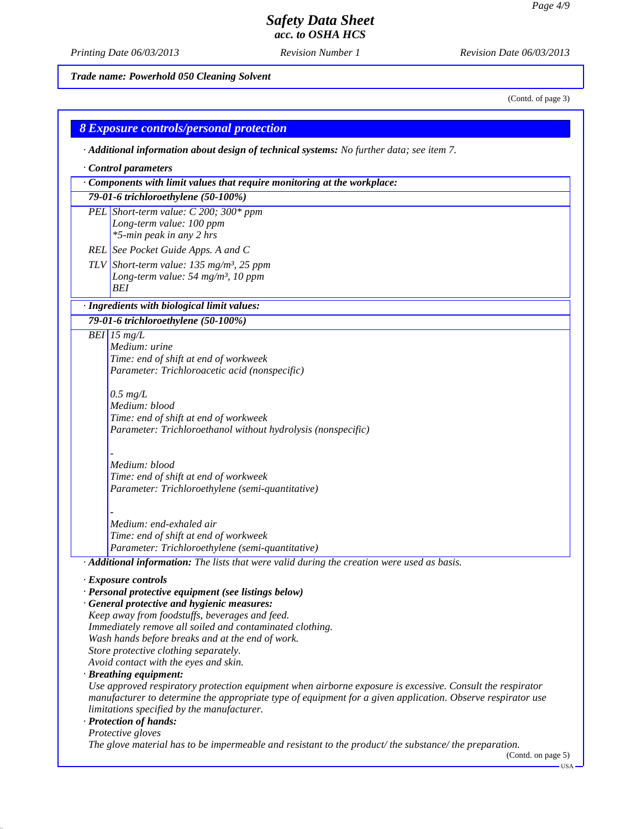*Printing Date 06/03/2013 Revision Number 1 Revision Date 06/03/2013*

*Trade name: Powerhold 050 Cleaning Solvent*

(Contd. of page 3)

| <b>8 Exposure controls/personal protection</b>                                                               |
|--------------------------------------------------------------------------------------------------------------|
| · Additional information about design of technical systems: No further data; see item 7.                     |
| Control parameters                                                                                           |
| Components with limit values that require monitoring at the workplace:                                       |
| 79-01-6 trichloroethylene (50-100%)                                                                          |
| PEL Short-term value: C 200; 300* ppm                                                                        |
| Long-term value: 100 ppm                                                                                     |
| *5-min peak in any 2 hrs                                                                                     |
| REL See Pocket Guide Apps. A and C                                                                           |
| TLV Short-term value: $135$ mg/m <sup>3</sup> , 25 ppm                                                       |
| Long-term value: 54 mg/m <sup>3</sup> , 10 ppm                                                               |
| <b>BEI</b>                                                                                                   |
| · Ingredients with biological limit values:                                                                  |
| 79-01-6 trichloroethylene (50-100%)                                                                          |
| $BEI$ 15 mg/L                                                                                                |
| Medium: urine                                                                                                |
| Time: end of shift at end of workweek<br>Parameter: Trichloroacetic acid (nonspecific)                       |
|                                                                                                              |
| $0.5 \ mg/L$                                                                                                 |
| Medium: blood                                                                                                |
| Time: end of shift at end of workweek                                                                        |
| Parameter: Trichloroethanol without hydrolysis (nonspecific)                                                 |
|                                                                                                              |
| Medium: blood                                                                                                |
| Time: end of shift at end of workweek                                                                        |
| Parameter: Trichloroethylene (semi-quantitative)                                                             |
| Medium: end-exhaled air                                                                                      |
| Time: end of shift at end of workweek                                                                        |
| Parameter: Trichloroethylene (semi-quantitative)                                                             |
| · Additional information: The lists that were valid during the creation were used as basis.                  |
| · Exposure controls                                                                                          |
| · Personal protective equipment (see listings below)                                                         |
| · General protective and hygienic measures:                                                                  |
| Keep away from foodstuffs, beverages and feed.                                                               |
| Immediately remove all soiled and contaminated clothing.<br>Wash hands before breaks and at the end of work. |
| Store protective clothing separately.                                                                        |
| Avoid contact with the eyes and skin.                                                                        |
| · Breathing equipment:                                                                                       |
| Use approved respiratory protection equipment when airborne exposure is excessive. Consult the respirator    |
| manufacturer to determine the appropriate type of equipment for a given application. Observe respirator use  |
| limitations specified by the manufacturer.                                                                   |
| · Protection of hands:<br>Protective gloves                                                                  |
| The glove material has to be impermeable and resistant to the product/the substance/the preparation.         |
| (Contd. on page 5)                                                                                           |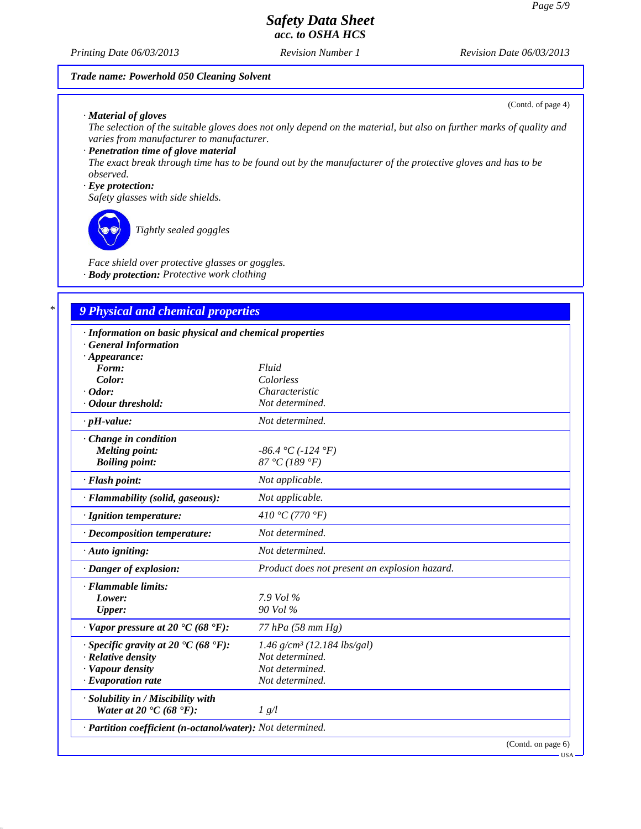#### *Printing Date 06/03/2013 Revision Number 1 Revision Date 06/03/2013*

### *Trade name: Powerhold 050 Cleaning Solvent*

#### *· Material of gloves*

*The selection of the suitable gloves does not only depend on the material, but also on further marks of quality and varies from manufacturer to manufacturer.*

#### *· Penetration time of glove material*

*The exact break through time has to be found out by the manufacturer of the protective gloves and has to be observed.*

### *· Eye protection:*

*Safety glasses with side shields.*

*Tightly sealed goggles*

*Face shield over protective glasses or goggles. · Body protection: Protective work clothing*

### *\* 9 Physical and chemical properties*

| · Information on basic physical and chemical properties    |                                               |  |  |  |
|------------------------------------------------------------|-----------------------------------------------|--|--|--|
| <b>General Information</b>                                 |                                               |  |  |  |
| $\cdot$ Appearance:                                        |                                               |  |  |  |
| Form:                                                      | Fluid                                         |  |  |  |
| Color:                                                     | Colorless                                     |  |  |  |
| $\cdot$ Odor:                                              | Characteristic                                |  |  |  |
| · Odour threshold:                                         | Not determined.                               |  |  |  |
| $\cdot$ pH-value:                                          | Not determined.                               |  |  |  |
| · Change in condition                                      |                                               |  |  |  |
| <b>Melting point:</b>                                      | $-86.4 °C (-124 °F)$                          |  |  |  |
| <b>Boiling point:</b>                                      | 87 °C (189 °F)                                |  |  |  |
| · Flash point:                                             | Not applicable.                               |  |  |  |
| · Flammability (solid, gaseous):                           | Not applicable.                               |  |  |  |
| · Ignition temperature:                                    | 410 °C (770 °F)                               |  |  |  |
| · Decomposition temperature:                               | Not determined.                               |  |  |  |
| $\cdot$ Auto igniting:                                     | Not determined.                               |  |  |  |
| · Danger of explosion:                                     | Product does not present an explosion hazard. |  |  |  |
| · Flammable limits:                                        |                                               |  |  |  |
| Lower:                                                     | $7.9$ Vol $\%$                                |  |  |  |
| <b>Upper:</b>                                              | 90 Vol %                                      |  |  |  |
| $\cdot$ Vapor pressure at 20 $\cdot$ C (68 $\cdot$ F):     | 77 hPa (58 mm Hg)                             |  |  |  |
| $\cdot$ Specific gravity at 20 °C (68 °F):                 | $1.46$ g/cm <sup>3</sup> (12.184 lbs/gal)     |  |  |  |
| $\cdot$ Relative density                                   | Not determined.                               |  |  |  |
| · Vapour density                                           | Not determined.                               |  |  |  |
| $\cdot$ Evaporation rate                                   | Not determined.                               |  |  |  |
| · Solubility in / Miscibility with                         |                                               |  |  |  |
| Water at 20 $\textdegree$ C (68 $\textdegree$ F):          | 1 g/l                                         |  |  |  |
| · Partition coefficient (n-octanol/water): Not determined. |                                               |  |  |  |
|                                                            | (Contd. on page 6)                            |  |  |  |

(Contd. of page 4)

USA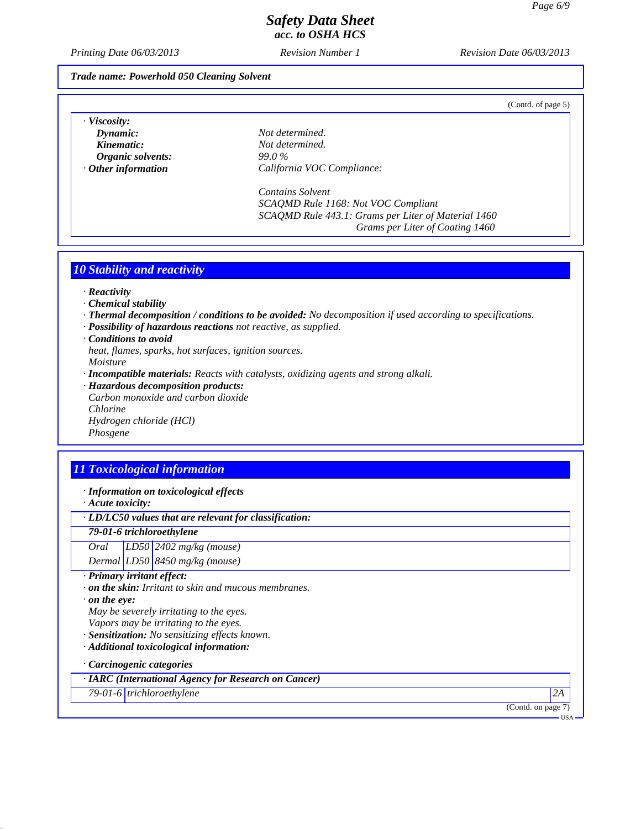*Printing Date 06/03/2013 Revision Number 1 Revision Date 06/03/2013*

#### *Trade name: Powerhold 050 Cleaning Solvent*

(Contd. of page 5)

| · Viscosity:         |  |
|----------------------|--|
| Dynamic:             |  |
| Kinematic:           |  |
| Organic solvents:    |  |
| $O$ than information |  |

*Dynamic: Not determined.*  $Not$  *determined. Organic solvents: 99.0 % · Other information California VOC Compliance:*

> *Contains Solvent SCAQMD Rule 1168: Not VOC Compliant SCAQMD Rule 443.1: Grams per Liter of Material 1460 Grams per Liter of Coating 1460*

### *10 Stability and reactivity*

- *· Reactivity*
- *· Chemical stability*
- *· Thermal decomposition / conditions to be avoided: No decomposition if used according to specifications.*
- *· Possibility of hazardous reactions not reactive, as supplied.*
- *· Conditions to avoid*
- *heat, flames, sparks, hot surfaces, ignition sources.*

*Moisture*

- *· Incompatible materials: Reacts with catalysts, oxidizing agents and strong alkali.*
- *· Hazardous decomposition products: Carbon monoxide and carbon dioxide Chlorine Hydrogen chloride (HCl) Phosgene*

# *11 Toxicological information*

*· Information on toxicological effects*

*· Acute toxicity:*

## *· LD/LC50 values that are relevant for classification:*

### *79-01-6 trichloroethylene*

*Oral LD50 2402 mg/kg (mouse)*

*Dermal LD50 8450 mg/kg (mouse)*

- *· Primary irritant effect:*
- *· on the skin: Irritant to skin and mucous membranes.*
- *· on the eye:*

*May be severely irritating to the eyes.*

- *Vapors may be irritating to the eyes.*
- *· Sensitization: No sensitizing effects known.*
- *· Additional toxicological information:*

*· Carcinogenic categories*

*· IARC (International Agency for Research on Cancer)*

*79-01-6 trichloroethylene 2A*

(Contd. on page 7)

 $-<sup>T</sup>$ ISA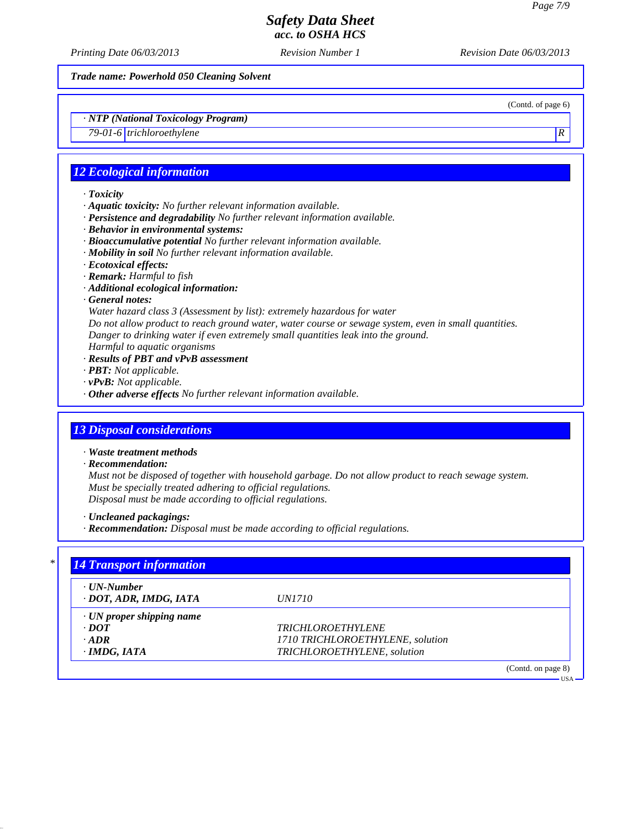*Printing Date 06/03/2013 Revision Number 1 Revision Date 06/03/2013*

*Trade name: Powerhold 050 Cleaning Solvent*

(Contd. of page 6)

USA

*· NTP (National Toxicology Program)*

*79-01-6 trichloroethylene R* 

### *12 Ecological information*

*· Toxicity*

- *· Aquatic toxicity: No further relevant information available.*
- *· Persistence and degradability No further relevant information available.*
- *· Behavior in environmental systems:*
- *· Bioaccumulative potential No further relevant information available.*
- *· Mobility in soil No further relevant information available.*
- *· Ecotoxical effects:*
- *· Remark: Harmful to fish*
- *· Additional ecological information:*
- *· General notes:*

*Water hazard class 3 (Assessment by list): extremely hazardous for water*

*Do not allow product to reach ground water, water course or sewage system, even in small quantities. Danger to drinking water if even extremely small quantities leak into the ground.*

*Harmful to aquatic organisms*

- *· Results of PBT and vPvB assessment*
- *· PBT: Not applicable.*
- *· vPvB: Not applicable.*
- *· Other adverse effects No further relevant information available.*

### *13 Disposal considerations*

- *· Waste treatment methods*
- *· Recommendation:*

*Must not be disposed of together with household garbage. Do not allow product to reach sewage system. Must be specially treated adhering to official regulations. Disposal must be made according to official regulations.*

*· Uncleaned packagings:*

*· Recommendation: Disposal must be made according to official regulations.*

| · UN-Number                     |                                  |  |
|---------------------------------|----------------------------------|--|
| · DOT, ADR, IMDG, IATA          | <i>UN1710</i>                    |  |
| $\cdot$ UN proper shipping name |                                  |  |
| $\cdot$ <i>DOT</i>              | <b>TRICHLOROETHYLENE</b>         |  |
| $\cdot$ ADR                     | 1710 TRICHLOROETHYLENE, solution |  |
| $\cdot$ IMDG, IATA              | TRICHLOROETHYLENE, solution      |  |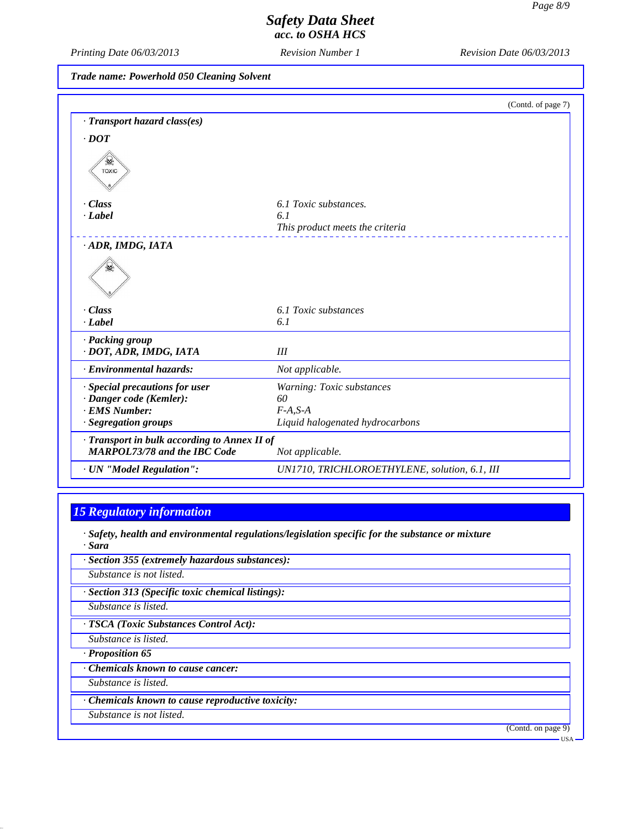*Printing Date 06/03/2013 Revision Number 1 Revision Date 06/03/2013*

*Trade name: Powerhold 050 Cleaning Solvent*

|                                              | (Contd. of page 7)                            |
|----------------------------------------------|-----------------------------------------------|
| · Transport hazard class(es)                 |                                               |
| $\cdot$ DOT                                  |                                               |
| <b>TOXIC</b>                                 |                                               |
| $\cdot Class$                                | 6.1 Toxic substances.                         |
| $\cdot$ <i>Label</i>                         | 6.1                                           |
|                                              | This product meets the criteria               |
| ADR, IMDG, IATA                              |                                               |
|                                              |                                               |
| $\cdot Class$                                | 6.1 Toxic substances                          |
| $\cdot$ <i>Label</i>                         | 6.1                                           |
| · Packing group                              |                                               |
| · DOT, ADR, IMDG, IATA                       | III                                           |
| · Environmental hazards:                     | Not applicable.                               |
| · Special precautions for user               | Warning: Toxic substances                     |
| · Danger code (Kemler):                      | 60                                            |
| · EMS Number:                                | $F-A, S-A$                                    |
| · Segregation groups                         | Liquid halogenated hydrocarbons               |
| · Transport in bulk according to Annex II of |                                               |
| <b>MARPOL73/78 and the IBC Code</b>          | Not applicable.                               |
| · UN "Model Regulation":                     | UN1710, TRICHLOROETHYLENE, solution, 6.1, III |

# *15 Regulatory information*

*· Safety, health and environmental regulations/legislation specific for the substance or mixture · Sara*

- *· Section 355 (extremely hazardous substances): Substance is not listed.*
- *· Section 313 (Specific toxic chemical listings):*

*Substance is listed.*

*· TSCA (Toxic Substances Control Act):*

*Substance is listed.*

*· Proposition 65*

*· Chemicals known to cause cancer:*

*Substance is listed.*

*· Chemicals known to cause reproductive toxicity:*

*Substance is not listed.*

(Contd. on page 9)

USA